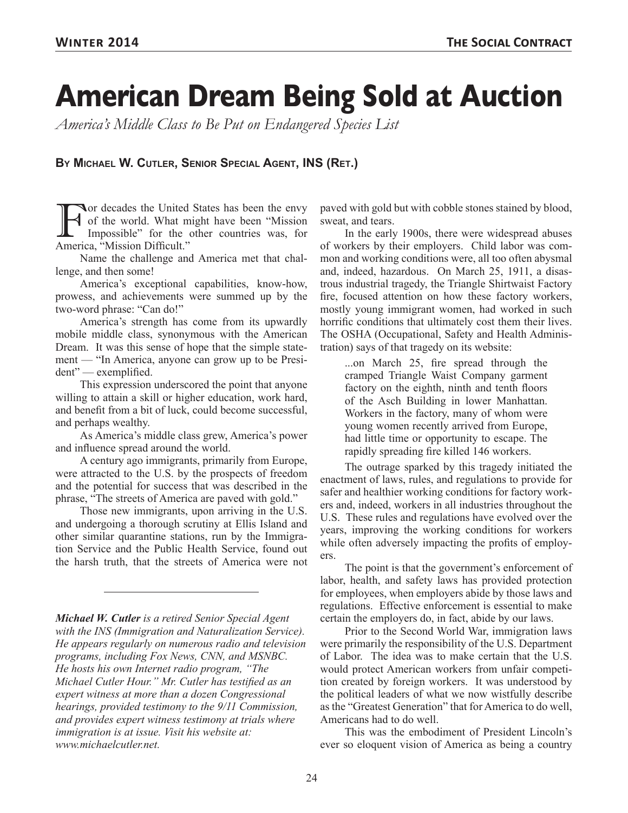# **American Dream Being Sold at Auction**

*America's Middle Class to Be Put on Endangered Species List*

**By Michael W. Cutler, Senior Special Agent, INS (Ret.)**

For decades the United States has been the envy<br>of the world. What might have been "Mission<br>Impossible" for the other countries was, for<br>America "Mission Difficult" of the world. What might have been "Mission Impossible" for the other countries was, for America, "Mission Difficult."

Name the challenge and America met that challenge, and then some!

America's exceptional capabilities, know-how, prowess, and achievements were summed up by the two-word phrase: "Can do!"

America's strength has come from its upwardly mobile middle class, synonymous with the American Dream. It was this sense of hope that the simple statement — "In America, anyone can grow up to be President" — exemplified.

This expression underscored the point that anyone willing to attain a skill or higher education, work hard, and benefit from a bit of luck, could become successful, and perhaps wealthy.

As America's middle class grew, America's power and influence spread around the world.

A century ago immigrants, primarily from Europe, were attracted to the U.S. by the prospects of freedom and the potential for success that was described in the phrase, "The streets of America are paved with gold."

Those new immigrants, upon arriving in the U.S. and undergoing a thorough scrutiny at Ellis Island and other similar quarantine stations, run by the Immigration Service and the Public Health Service, found out the harsh truth, that the streets of America were not

*Michael W. Cutler is a retired Senior Special Agent with the INS (Immigration and Naturalization Service). He appears regularly on numerous radio and television programs, including Fox News, CNN, and MSNBC. He hosts his own Internet radio program, "The Michael Cutler Hour." Mr. Cutler has testified as an expert witness at more than a dozen Congressional hearings, provided testimony to the 9/11 Commission, and provides expert witness testimony at trials where immigration is at issue. Visit his website at: www.michaelcutler.net.*

paved with gold but with cobble stones stained by blood, sweat, and tears.

In the early 1900s, there were widespread abuses of workers by their employers. Child labor was common and working conditions were, all too often abysmal and, indeed, hazardous. On March 25, 1911, a disastrous industrial tragedy, the Triangle Shirtwaist Factory fire, focused attention on how these factory workers, mostly young immigrant women, had worked in such horrific conditions that ultimately cost them their lives. The OSHA (Occupational, Safety and Health Administration) says of that tragedy on its website:

...on March 25, fire spread through the cramped Triangle Waist Company garment factory on the eighth, ninth and tenth floors of the Asch Building in lower Manhattan. Workers in the factory, many of whom were young women recently arrived from Europe, had little time or opportunity to escape. The rapidly spreading fire killed 146 workers.

The outrage sparked by this tragedy initiated the enactment of laws, rules, and regulations to provide for safer and healthier working conditions for factory workers and, indeed, workers in all industries throughout the U.S. These rules and regulations have evolved over the years, improving the working conditions for workers while often adversely impacting the profits of employers.

The point is that the government's enforcement of labor, health, and safety laws has provided protection for employees, when employers abide by those laws and regulations. Effective enforcement is essential to make certain the employers do, in fact, abide by our laws.

Prior to the Second World War, immigration laws were primarily the responsibility of the U.S. Department of Labor. The idea was to make certain that the U.S. would protect American workers from unfair competition created by foreign workers. It was understood by the political leaders of what we now wistfully describe as the "Greatest Generation" that for America to do well, Americans had to do well.

This was the embodiment of President Lincoln's ever so eloquent vision of America as being a country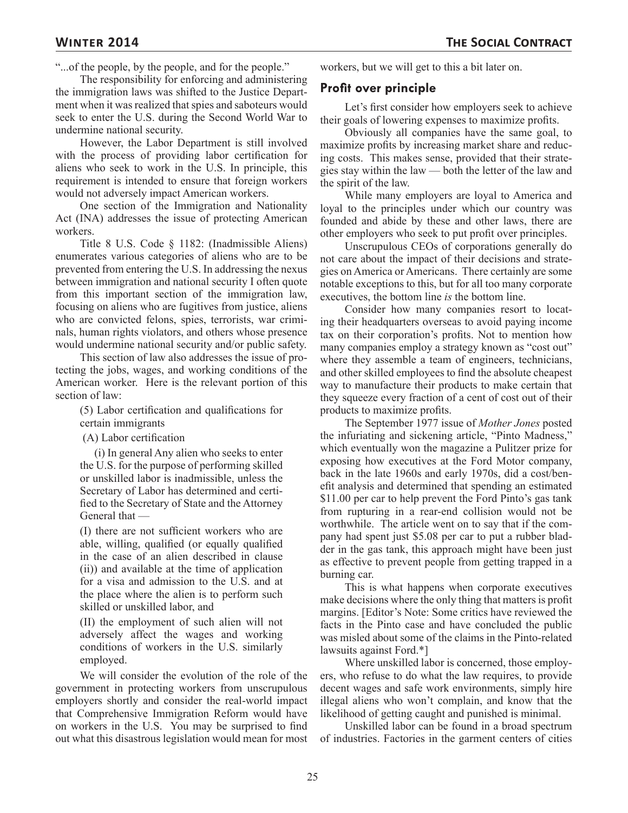"...of the people, by the people, and for the people."

The responsibility for enforcing and administering the immigration laws was shifted to the Justice Department when it was realized that spies and saboteurs would seek to enter the U.S. during the Second World War to undermine national security.

However, the Labor Department is still involved with the process of providing labor certification for aliens who seek to work in the U.S. In principle, this requirement is intended to ensure that foreign workers would not adversely impact American workers.

One section of the Immigration and Nationality Act (INA) addresses the issue of protecting American workers.

Title 8 U.S. Code § 1182: (Inadmissible Aliens) enumerates various categories of aliens who are to be prevented from entering the U.S. In addressing the nexus between immigration and national security I often quote from this important section of the immigration law, focusing on aliens who are fugitives from justice, aliens who are convicted felons, spies, terrorists, war criminals, human rights violators, and others whose presence would undermine national security and/or public safety.

This section of law also addresses the issue of protecting the jobs, wages, and working conditions of the American worker. Here is the relevant portion of this section of law:

(5) Labor certification and qualifications for certain immigrants

(A) Labor certification

 (i) In general Any alien who seeks to enter the U.S. for the purpose of performing skilled or unskilled labor is inadmissible, unless the Secretary of Labor has determined and certified to the Secretary of State and the Attorney General that —

(I) there are not sufficient workers who are able, willing, qualified (or equally qualified in the case of an alien described in clause (ii)) and available at the time of application for a visa and admission to the U.S. and at the place where the alien is to perform such skilled or unskilled labor, and

(II) the employment of such alien will not adversely affect the wages and working conditions of workers in the U.S. similarly employed.

We will consider the evolution of the role of the government in protecting workers from unscrupulous employers shortly and consider the real-world impact that Comprehensive Immigration Reform would have on workers in the U.S. You may be surprised to find out what this disastrous legislation would mean for most workers, but we will get to this a bit later on.

#### **Profit over principle**

Let's first consider how employers seek to achieve their goals of lowering expenses to maximize profits.

Obviously all companies have the same goal, to maximize profits by increasing market share and reducing costs. This makes sense, provided that their strategies stay within the law — both the letter of the law and the spirit of the law.

While many employers are loyal to America and loyal to the principles under which our country was founded and abide by these and other laws, there are other employers who seek to put profit over principles.

Unscrupulous CEOs of corporations generally do not care about the impact of their decisions and strategies on America or Americans. There certainly are some notable exceptions to this, but for all too many corporate executives, the bottom line *is* the bottom line.

Consider how many companies resort to locating their headquarters overseas to avoid paying income tax on their corporation's profits. Not to mention how many companies employ a strategy known as "cost out" where they assemble a team of engineers, technicians, and other skilled employees to find the absolute cheapest way to manufacture their products to make certain that they squeeze every fraction of a cent of cost out of their products to maximize profits.

The September 1977 issue of *Mother Jones* posted the infuriating and sickening article, "Pinto Madness," which eventually won the magazine a Pulitzer prize for exposing how executives at the Ford Motor company, back in the late 1960s and early 1970s, did a cost/benefit analysis and determined that spending an estimated \$11.00 per car to help prevent the Ford Pinto's gas tank from rupturing in a rear-end collision would not be worthwhile. The article went on to say that if the company had spent just \$5.08 per car to put a rubber bladder in the gas tank, this approach might have been just as effective to prevent people from getting trapped in a burning car.

This is what happens when corporate executives make decisions where the only thing that matters is profit margins. [Editor's Note: Some critics have reviewed the facts in the Pinto case and have concluded the public was misled about some of the claims in the Pinto-related lawsuits against Ford.\*]

Where unskilled labor is concerned, those employers, who refuse to do what the law requires, to provide decent wages and safe work environments, simply hire illegal aliens who won't complain, and know that the likelihood of getting caught and punished is minimal.

Unskilled labor can be found in a broad spectrum of industries. Factories in the garment centers of cities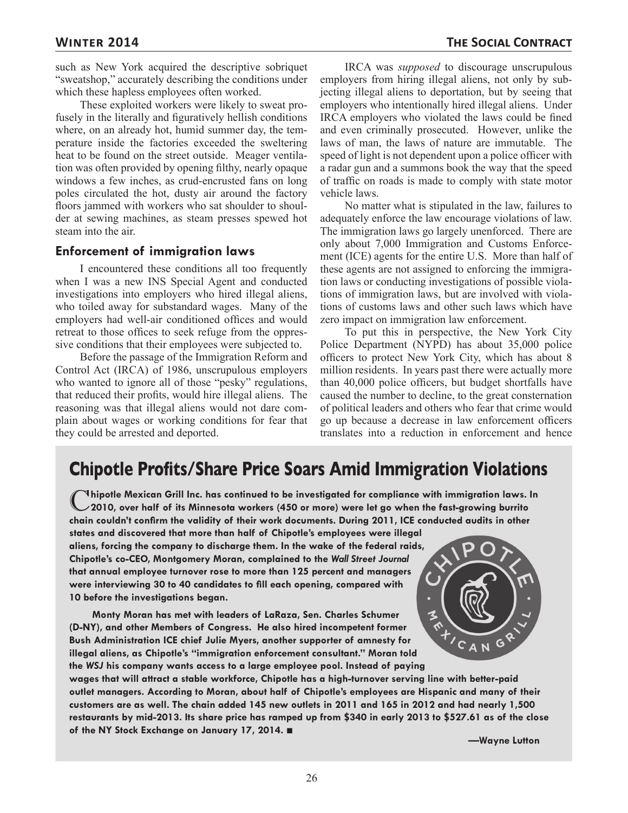such as New York acquired the descriptive sobriquet "sweatshop," accurately describing the conditions under which these hapless employees often worked.

These exploited workers were likely to sweat profusely in the literally and figuratively hellish conditions where, on an already hot, humid summer day, the temperature inside the factories exceeded the sweltering heat to be found on the street outside. Meager ventilation was often provided by opening filthy, nearly opaque windows a few inches, as crud-encrusted fans on long poles circulated the hot, dusty air around the factory floors jammed with workers who sat shoulder to shoulder at sewing machines, as steam presses spewed hot steam into the air.

#### **Enforcement of immigration laws**

I encountered these conditions all too frequently when I was a new INS Special Agent and conducted investigations into employers who hired illegal aliens, who toiled away for substandard wages. Many of the employers had well-air conditioned offices and would retreat to those offices to seek refuge from the oppressive conditions that their employees were subjected to.

Before the passage of the Immigration Reform and Control Act (IRCA) of 1986, unscrupulous employers who wanted to ignore all of those "pesky" regulations, that reduced their profits, would hire illegal aliens. The reasoning was that illegal aliens would not dare complain about wages or working conditions for fear that they could be arrested and deported.

IRCA was *supposed* to discourage unscrupulous employers from hiring illegal aliens, not only by subjecting illegal aliens to deportation, but by seeing that employers who intentionally hired illegal aliens. Under IRCA employers who violated the laws could be fined and even criminally prosecuted. However, unlike the laws of man, the laws of nature are immutable. The speed of light is not dependent upon a police officer with a radar gun and a summons book the way that the speed of traffic on roads is made to comply with state motor vehicle laws.

No matter what is stipulated in the law, failures to adequately enforce the law encourage violations of law. The immigration laws go largely unenforced. There are only about 7,000 Immigration and Customs Enforcement (ICE) agents for the entire U.S. More than half of these agents are not assigned to enforcing the immigration laws or conducting investigations of possible violations of immigration laws, but are involved with violations of customs laws and other such laws which have zero impact on immigration law enforcement.

To put this in perspective, the New York City Police Department (NYPD) has about 35,000 police officers to protect New York City, which has about 8 million residents. In years past there were actually more than 40,000 police officers, but budget shortfalls have caused the number to decline, to the great consternation of political leaders and others who fear that crime would go up because a decrease in law enforcement officers translates into a reduction in enforcement and hence

### **Chipotle Profits/Share Price Soars Amid Immigration Violations**

C**hipotle Mexican Grill Inc. has continued to be investigated for compliance with immigration laws. In 2010, over half of its Minnesota workers (450 or more) were let go when the fast-growing burrito chain couldn't confirm the validity of their work documents. During 2011, ICE conducted audits in other** 

**states and discovered that more than half of Chipotle's employees were illegal aliens, forcing the company to discharge them. In the wake of the federal raids, Chipotle's co-CEO, Montgomery Moran, complained to the** *Wall Street Journal* **that annual employee turnover rose to more than 125 percent and managers were interviewing 30 to 40 candidates to fill each opening, compared with 10 before the investigations began.** 

**Monty Moran has met with leaders of LaRaza, Sen. Charles Schumer (D-NY), and other Members of Congress. He also hired incompetent former Bush Administration ICE chief Julie Myers, another supporter of amnesty for illegal aliens, as Chipotle's "immigration enforcement consultant." Moran told the** *WSJ* **his company wants access to a large employee pool. Instead of paying** 



**wages that will attract a stable workforce, Chipotle has a high-turnover serving line with better-paid outlet managers. According to Moran, about half of Chipotle's employees are Hispanic and many of their customers are as well. The chain added 145 new outlets in 2011 and 165 in 2012 and had nearly 1,500 restaurants by mid-2013. Its share price has ramped up from \$340 in early 2013 to \$527.61 as of the close of the NY Stock Exchange on January 17, 2014.** ■

**—Wayne Lutton**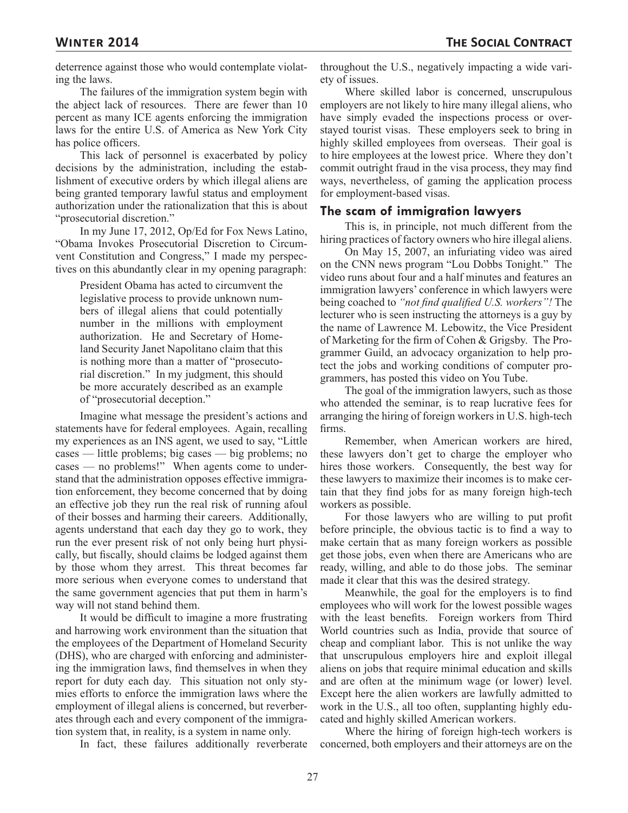deterrence against those who would contemplate violating the laws.

The failures of the immigration system begin with the abject lack of resources. There are fewer than 10 percent as many ICE agents enforcing the immigration laws for the entire U.S. of America as New York City has police officers.

This lack of personnel is exacerbated by policy decisions by the administration, including the establishment of executive orders by which illegal aliens are being granted temporary lawful status and employment authorization under the rationalization that this is about "prosecutorial discretion."

In my June 17, 2012, Op/Ed for Fox News Latino, "Obama Invokes Prosecutorial Discretion to Circumvent Constitution and Congress," I made my perspectives on this abundantly clear in my opening paragraph:

President Obama has acted to circumvent the legislative process to provide unknown numbers of illegal aliens that could potentially number in the millions with employment authorization. He and Secretary of Homeland Security Janet Napolitano claim that this is nothing more than a matter of "prosecutorial discretion." In my judgment, this should be more accurately described as an example of "prosecutorial deception."

Imagine what message the president's actions and statements have for federal employees. Again, recalling my experiences as an INS agent, we used to say, "Little cases — little problems; big cases — big problems; no cases — no problems!" When agents come to understand that the administration opposes effective immigration enforcement, they become concerned that by doing an effective job they run the real risk of running afoul of their bosses and harming their careers. Additionally, agents understand that each day they go to work, they run the ever present risk of not only being hurt physically, but fiscally, should claims be lodged against them by those whom they arrest. This threat becomes far more serious when everyone comes to understand that the same government agencies that put them in harm's way will not stand behind them.

It would be difficult to imagine a more frustrating and harrowing work environment than the situation that the employees of the Department of Homeland Security (DHS), who are charged with enforcing and administering the immigration laws, find themselves in when they report for duty each day. This situation not only stymies efforts to enforce the immigration laws where the employment of illegal aliens is concerned, but reverberates through each and every component of the immigration system that, in reality, is a system in name only.

In fact, these failures additionally reverberate

throughout the U.S., negatively impacting a wide variety of issues.

Where skilled labor is concerned, unscrupulous employers are not likely to hire many illegal aliens, who have simply evaded the inspections process or overstayed tourist visas. These employers seek to bring in highly skilled employees from overseas. Their goal is to hire employees at the lowest price. Where they don't commit outright fraud in the visa process, they may find ways, nevertheless, of gaming the application process for employment-based visas.

#### **The scam of immigration lawyers**

This is, in principle, not much different from the hiring practices of factory owners who hire illegal aliens.

On May 15, 2007, an infuriating video was aired on the CNN news program "Lou Dobbs Tonight." The video runs about four and a half minutes and features an immigration lawyers' conference in which lawyers were being coached to *"not find qualified U.S. workers"!* The lecturer who is seen instructing the attorneys is a guy by the name of Lawrence M. Lebowitz, the Vice President of Marketing for the firm of Cohen & Grigsby. The Programmer Guild, an advocacy organization to help protect the jobs and working conditions of computer programmers, has posted this video on You Tube.

The goal of the immigration lawyers, such as those who attended the seminar, is to reap lucrative fees for arranging the hiring of foreign workers in U.S. high-tech firms.

Remember, when American workers are hired, these lawyers don't get to charge the employer who hires those workers. Consequently, the best way for these lawyers to maximize their incomes is to make certain that they find jobs for as many foreign high-tech workers as possible.

For those lawyers who are willing to put profit before principle, the obvious tactic is to find a way to make certain that as many foreign workers as possible get those jobs, even when there are Americans who are ready, willing, and able to do those jobs. The seminar made it clear that this was the desired strategy.

Meanwhile, the goal for the employers is to find employees who will work for the lowest possible wages with the least benefits. Foreign workers from Third World countries such as India, provide that source of cheap and compliant labor. This is not unlike the way that unscrupulous employers hire and exploit illegal aliens on jobs that require minimal education and skills and are often at the minimum wage (or lower) level. Except here the alien workers are lawfully admitted to work in the U.S., all too often, supplanting highly educated and highly skilled American workers.

Where the hiring of foreign high-tech workers is concerned, both employers and their attorneys are on the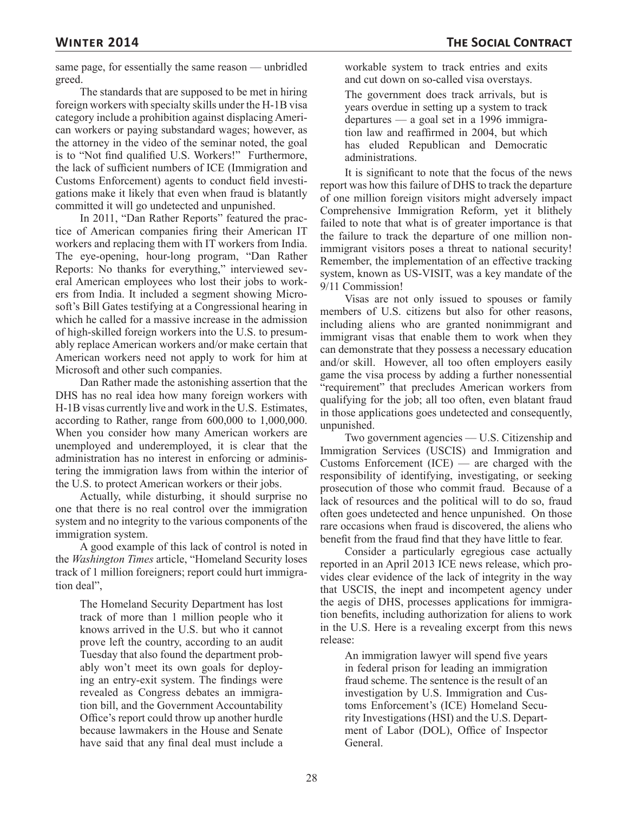same page, for essentially the same reason — unbridled greed.

The standards that are supposed to be met in hiring foreign workers with specialty skills under the H-1B visa category include a prohibition against displacing American workers or paying substandard wages; however, as the attorney in the video of the seminar noted, the goal is to "Not find qualified U.S. Workers!" Furthermore, the lack of sufficient numbers of ICE (Immigration and Customs Enforcement) agents to conduct field investigations make it likely that even when fraud is blatantly committed it will go undetected and unpunished.

In 2011, "Dan Rather Reports" featured the practice of American companies firing their American IT workers and replacing them with IT workers from India. The eye-opening, hour-long program, "Dan Rather Reports: No thanks for everything," interviewed several American employees who lost their jobs to workers from India. It included a segment showing Microsoft's Bill Gates testifying at a Congressional hearing in which he called for a massive increase in the admission of high-skilled foreign workers into the U.S. to presumably replace American workers and/or make certain that American workers need not apply to work for him at Microsoft and other such companies.

Dan Rather made the astonishing assertion that the DHS has no real idea how many foreign workers with H-1B visas currently live and work in the U.S. Estimates, according to Rather, range from 600,000 to 1,000,000. When you consider how many American workers are unemployed and underemployed, it is clear that the administration has no interest in enforcing or administering the immigration laws from within the interior of the U.S. to protect American workers or their jobs.

Actually, while disturbing, it should surprise no one that there is no real control over the immigration system and no integrity to the various components of the immigration system.

A good example of this lack of control is noted in the *Washington Times* article, "Homeland Security loses track of 1 million foreigners; report could hurt immigration deal",

The Homeland Security Department has lost track of more than 1 million people who it knows arrived in the U.S. but who it cannot prove left the country, according to an audit Tuesday that also found the department probably won't meet its own goals for deploying an entry-exit system. The findings were revealed as Congress debates an immigration bill, and the Government Accountability Office's report could throw up another hurdle because lawmakers in the House and Senate have said that any final deal must include a workable system to track entries and exits and cut down on so-called visa overstays.

The government does track arrivals, but is years overdue in setting up a system to track departures — a goal set in a 1996 immigration law and reaffirmed in 2004, but which has eluded Republican and Democratic administrations.

It is significant to note that the focus of the news report was how this failure of DHS to track the departure of one million foreign visitors might adversely impact Comprehensive Immigration Reform, yet it blithely failed to note that what is of greater importance is that the failure to track the departure of one million nonimmigrant visitors poses a threat to national security! Remember, the implementation of an effective tracking system, known as US-VISIT, was a key mandate of the 9/11 Commission!

Visas are not only issued to spouses or family members of U.S. citizens but also for other reasons, including aliens who are granted nonimmigrant and immigrant visas that enable them to work when they can demonstrate that they possess a necessary education and/or skill. However, all too often employers easily game the visa process by adding a further nonessential "requirement" that precludes American workers from qualifying for the job; all too often, even blatant fraud in those applications goes undetected and consequently, unpunished.

Two government agencies — U.S. Citizenship and Immigration Services (USCIS) and Immigration and Customs Enforcement  $(ICE)$  — are charged with the responsibility of identifying, investigating, or seeking prosecution of those who commit fraud. Because of a lack of resources and the political will to do so, fraud often goes undetected and hence unpunished. On those rare occasions when fraud is discovered, the aliens who benefit from the fraud find that they have little to fear.

Consider a particularly egregious case actually reported in an April 2013 ICE news release, which provides clear evidence of the lack of integrity in the way that USCIS, the inept and incompetent agency under the aegis of DHS, processes applications for immigration benefits, including authorization for aliens to work in the U.S. Here is a revealing excerpt from this news release:

An immigration lawyer will spend five years in federal prison for leading an immigration fraud scheme. The sentence is the result of an investigation by U.S. Immigration and Customs Enforcement's (ICE) Homeland Security Investigations (HSI) and the U.S. Department of Labor (DOL), Office of Inspector General.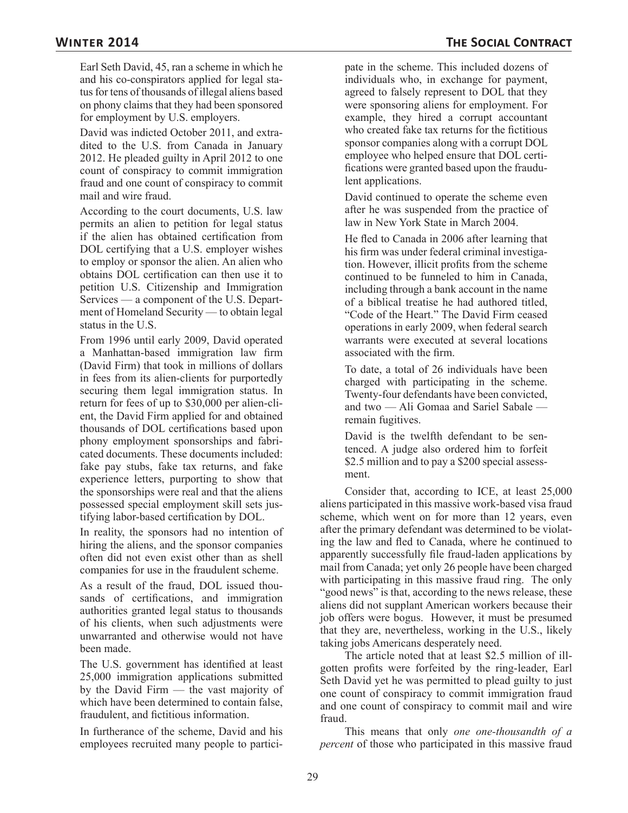Earl Seth David, 45, ran a scheme in which he and his co-conspirators applied for legal status for tens of thousands of illegal aliens based on phony claims that they had been sponsored for employment by U.S. employers.

David was indicted October 2011, and extradited to the U.S. from Canada in January 2012. He pleaded guilty in April 2012 to one count of conspiracy to commit immigration fraud and one count of conspiracy to commit mail and wire fraud.

According to the court documents, U.S. law permits an alien to petition for legal status if the alien has obtained certification from DOL certifying that a U.S. employer wishes to employ or sponsor the alien. An alien who obtains DOL certification can then use it to petition U.S. Citizenship and Immigration Services — a component of the U.S. Department of Homeland Security — to obtain legal status in the U.S.

From 1996 until early 2009, David operated a Manhattan-based immigration law firm (David Firm) that took in millions of dollars in fees from its alien-clients for purportedly securing them legal immigration status. In return for fees of up to \$30,000 per alien-client, the David Firm applied for and obtained thousands of DOL certifications based upon phony employment sponsorships and fabricated documents. These documents included: fake pay stubs, fake tax returns, and fake experience letters, purporting to show that the sponsorships were real and that the aliens possessed special employment skill sets justifying labor-based certification by DOL.

In reality, the sponsors had no intention of hiring the aliens, and the sponsor companies often did not even exist other than as shell companies for use in the fraudulent scheme.

As a result of the fraud, DOL issued thousands of certifications, and immigration authorities granted legal status to thousands of his clients, when such adjustments were unwarranted and otherwise would not have been made.

The U.S. government has identified at least 25,000 immigration applications submitted by the David Firm — the vast majority of which have been determined to contain false, fraudulent, and fictitious information.

In furtherance of the scheme, David and his employees recruited many people to partici-

pate in the scheme. This included dozens of individuals who, in exchange for payment, agreed to falsely represent to DOL that they were sponsoring aliens for employment. For example, they hired a corrupt accountant who created fake tax returns for the fictitious sponsor companies along with a corrupt DOL employee who helped ensure that DOL certifications were granted based upon the fraudulent applications.

David continued to operate the scheme even after he was suspended from the practice of law in New York State in March 2004.

He fled to Canada in 2006 after learning that his firm was under federal criminal investigation. However, illicit profits from the scheme continued to be funneled to him in Canada, including through a bank account in the name of a biblical treatise he had authored titled, "Code of the Heart." The David Firm ceased operations in early 2009, when federal search warrants were executed at several locations associated with the firm.

To date, a total of 26 individuals have been charged with participating in the scheme. Twenty-four defendants have been convicted, and two — Ali Gomaa and Sariel Sabale remain fugitives.

David is the twelfth defendant to be sentenced. A judge also ordered him to forfeit \$2.5 million and to pay a \$200 special assessment.

Consider that, according to ICE, at least 25,000 aliens participated in this massive work-based visa fraud scheme, which went on for more than 12 years, even after the primary defendant was determined to be violating the law and fled to Canada, where he continued to apparently successfully file fraud-laden applications by mail from Canada; yet only 26 people have been charged with participating in this massive fraud ring. The only "good news" is that, according to the news release, these aliens did not supplant American workers because their job offers were bogus. However, it must be presumed that they are, nevertheless, working in the U.S., likely taking jobs Americans desperately need.

The article noted that at least \$2.5 million of illgotten profits were forfeited by the ring-leader, Earl Seth David yet he was permitted to plead guilty to just one count of conspiracy to commit immigration fraud and one count of conspiracy to commit mail and wire fraud.

This means that only *one one-thousandth of a percent* of those who participated in this massive fraud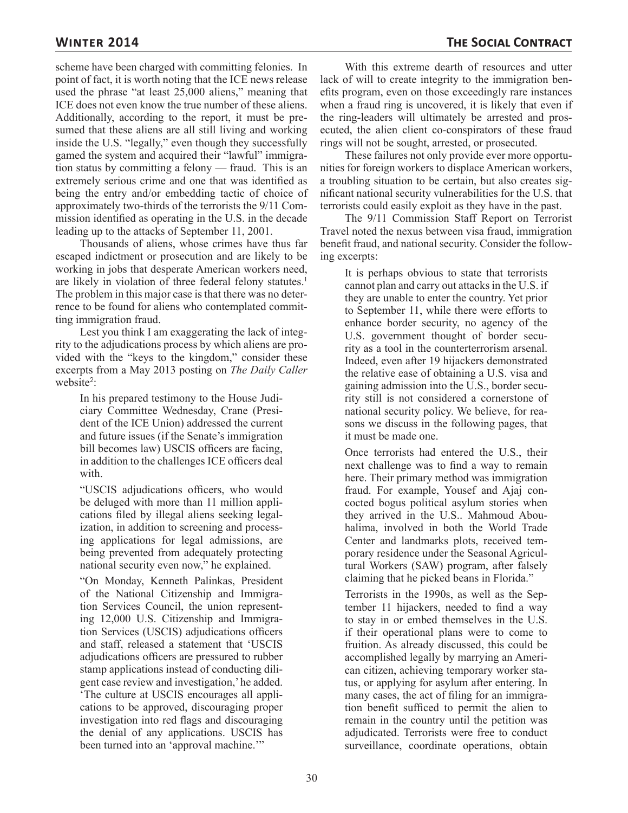scheme have been charged with committing felonies. In point of fact, it is worth noting that the ICE news release used the phrase "at least 25,000 aliens," meaning that ICE does not even know the true number of these aliens. Additionally, according to the report, it must be presumed that these aliens are all still living and working inside the U.S. "legally," even though they successfully gamed the system and acquired their "lawful" immigration status by committing a felony — fraud. This is an extremely serious crime and one that was identified as being the entry and/or embedding tactic of choice of approximately two-thirds of the terrorists the 9/11 Commission identified as operating in the U.S. in the decade leading up to the attacks of September 11, 2001.

Thousands of aliens, whose crimes have thus far escaped indictment or prosecution and are likely to be working in jobs that desperate American workers need, are likely in violation of three federal felony statutes.<sup>1</sup> The problem in this major case is that there was no deterrence to be found for aliens who contemplated committing immigration fraud.

Lest you think I am exaggerating the lack of integrity to the adjudications process by which aliens are provided with the "keys to the kingdom," consider these excerpts from a May 2013 posting on *The Daily Caller*  website<sup>2</sup>:

In his prepared testimony to the House Judiciary Committee Wednesday, Crane (President of the ICE Union) addressed the current and future issues (if the Senate's immigration bill becomes law) USCIS officers are facing, in addition to the challenges ICE officers deal with.

"USCIS adjudications officers, who would be deluged with more than 11 million applications filed by illegal aliens seeking legalization, in addition to screening and processing applications for legal admissions, are being prevented from adequately protecting national security even now," he explained.

"On Monday, Kenneth Palinkas, President of the National Citizenship and Immigration Services Council, the union representing 12,000 U.S. Citizenship and Immigration Services (USCIS) adjudications officers and staff, released a statement that 'USCIS adjudications officers are pressured to rubber stamp applications instead of conducting diligent case review and investigation,' he added. 'The culture at USCIS encourages all applications to be approved, discouraging proper investigation into red flags and discouraging the denial of any applications. USCIS has been turned into an 'approval machine.'"

With this extreme dearth of resources and utter lack of will to create integrity to the immigration benefits program, even on those exceedingly rare instances when a fraud ring is uncovered, it is likely that even if the ring-leaders will ultimately be arrested and prosecuted, the alien client co-conspirators of these fraud rings will not be sought, arrested, or prosecuted.

These failures not only provide ever more opportunities for foreign workers to displace American workers, a troubling situation to be certain, but also creates significant national security vulnerabilities for the U.S. that terrorists could easily exploit as they have in the past.

The 9/11 Commission Staff Report on Terrorist Travel noted the nexus between visa fraud, immigration benefit fraud, and national security. Consider the following excerpts:

It is perhaps obvious to state that terrorists cannot plan and carry out attacks in the U.S. if they are unable to enter the country. Yet prior to September 11, while there were efforts to enhance border security, no agency of the U.S. government thought of border security as a tool in the counterterrorism arsenal. Indeed, even after 19 hijackers demonstrated the relative ease of obtaining a U.S. visa and gaining admission into the U.S., border security still is not considered a cornerstone of national security policy. We believe, for reasons we discuss in the following pages, that it must be made one.

Once terrorists had entered the U.S., their next challenge was to find a way to remain here. Their primary method was immigration fraud. For example, Yousef and Ajaj concocted bogus political asylum stories when they arrived in the U.S.. Mahmoud Abouhalima, involved in both the World Trade Center and landmarks plots, received temporary residence under the Seasonal Agricultural Workers (SAW) program, after falsely claiming that he picked beans in Florida."

Terrorists in the 1990s, as well as the September 11 hijackers, needed to find a way to stay in or embed themselves in the U.S. if their operational plans were to come to fruition. As already discussed, this could be accomplished legally by marrying an American citizen, achieving temporary worker status, or applying for asylum after entering. In many cases, the act of filing for an immigration benefit sufficed to permit the alien to remain in the country until the petition was adjudicated. Terrorists were free to conduct surveillance, coordinate operations, obtain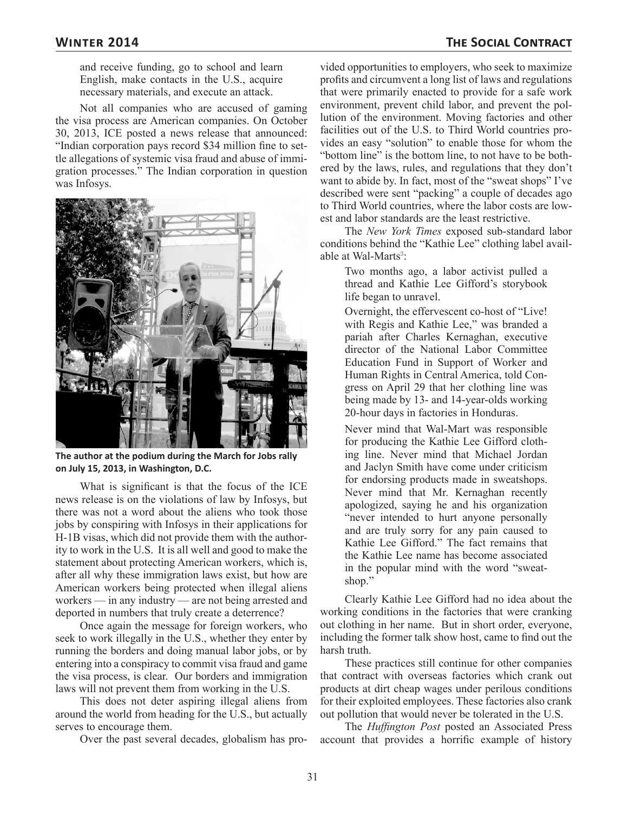and receive funding, go to school and learn English, make contacts in the U.S., acquire necessary materials, and execute an attack.

Not all companies who are accused of gaming the visa process are American companies. On October 30, 2013, ICE posted a news release that announced: "Indian corporation pays record \$34 million fine to settle allegations of systemic visa fraud and abuse of immigration processes." The Indian corporation in question was Infosys.



**The author at the podium during the March for Jobs rally on July 15, 2013, in Washington, D.C.**

What is significant is that the focus of the ICE news release is on the violations of law by Infosys, but there was not a word about the aliens who took those jobs by conspiring with Infosys in their applications for H-1B visas, which did not provide them with the authority to work in the U.S. It is all well and good to make the statement about protecting American workers, which is, after all why these immigration laws exist, but how are American workers being protected when illegal aliens workers — in any industry — are not being arrested and deported in numbers that truly create a deterrence?

Once again the message for foreign workers, who seek to work illegally in the U.S., whether they enter by running the borders and doing manual labor jobs, or by entering into a conspiracy to commit visa fraud and game the visa process, is clear. Our borders and immigration laws will not prevent them from working in the U.S.

This does not deter aspiring illegal aliens from around the world from heading for the U.S., but actually serves to encourage them.

Over the past several decades, globalism has pro-

vided opportunities to employers, who seek to maximize profits and circumvent a long list of laws and regulations that were primarily enacted to provide for a safe work environment, prevent child labor, and prevent the pollution of the environment. Moving factories and other facilities out of the U.S. to Third World countries provides an easy "solution" to enable those for whom the "bottom line" is the bottom line, to not have to be bothered by the laws, rules, and regulations that they don't want to abide by. In fact, most of the "sweat shops" I've described were sent "packing" a couple of decades ago to Third World countries, where the labor costs are lowest and labor standards are the least restrictive.

The *New York Times* exposed sub-standard labor conditions behind the "Kathie Lee" clothing label available at Wal-Marts<sup>3</sup>:

Two months ago, a labor activist pulled a thread and Kathie Lee Gifford's storybook life began to unravel.

Overnight, the effervescent co-host of "Live! with Regis and Kathie Lee," was branded a pariah after Charles Kernaghan, executive director of the National Labor Committee Education Fund in Support of Worker and Human Rights in Central America, told Congress on April 29 that her clothing line was being made by 13- and 14-year-olds working 20-hour days in factories in Honduras.

Never mind that Wal-Mart was responsible for producing the Kathie Lee Gifford clothing line. Never mind that Michael Jordan and Jaclyn Smith have come under criticism for endorsing products made in sweatshops. Never mind that Mr. Kernaghan recently apologized, saying he and his organization "never intended to hurt anyone personally and are truly sorry for any pain caused to Kathie Lee Gifford." The fact remains that the Kathie Lee name has become associated in the popular mind with the word "sweatshop."

Clearly Kathie Lee Gifford had no idea about the working conditions in the factories that were cranking out clothing in her name. But in short order, everyone, including the former talk show host, came to find out the harsh truth.

These practices still continue for other companies that contract with overseas factories which crank out products at dirt cheap wages under perilous conditions for their exploited employees. These factories also crank out pollution that would never be tolerated in the U.S.

The *Huffington Post* posted an Associated Press account that provides a horrific example of history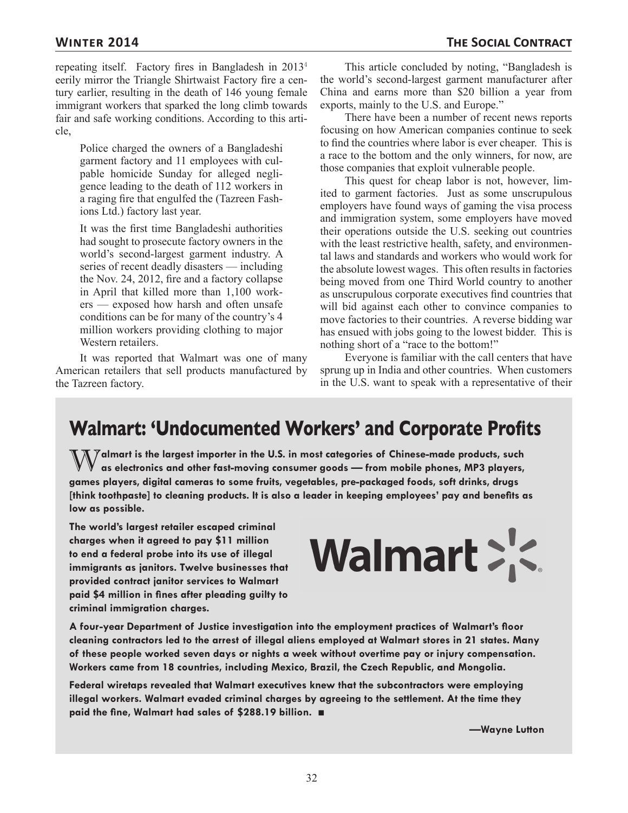repeating itself. Factory fires in Bangladesh in 2013<sup>4</sup> eerily mirror the Triangle Shirtwaist Factory fire a century earlier, resulting in the death of 146 young female immigrant workers that sparked the long climb towards fair and safe working conditions. According to this article,

Police charged the owners of a Bangladeshi garment factory and 11 employees with culpable homicide Sunday for alleged negligence leading to the death of 112 workers in a raging fire that engulfed the (Tazreen Fashions Ltd.) factory last year.

It was the first time Bangladeshi authorities had sought to prosecute factory owners in the world's second-largest garment industry. A series of recent deadly disasters — including the Nov. 24, 2012, fire and a factory collapse in April that killed more than 1,100 workers — exposed how harsh and often unsafe conditions can be for many of the country's 4 million workers providing clothing to major Western retailers.

It was reported that Walmart was one of many American retailers that sell products manufactured by the Tazreen factory.

This article concluded by noting, "Bangladesh is the world's second-largest garment manufacturer after China and earns more than \$20 billion a year from exports, mainly to the U.S. and Europe."

There have been a number of recent news reports focusing on how American companies continue to seek to find the countries where labor is ever cheaper. This is a race to the bottom and the only winners, for now, are those companies that exploit vulnerable people.

This quest for cheap labor is not, however, limited to garment factories. Just as some unscrupulous employers have found ways of gaming the visa process and immigration system, some employers have moved their operations outside the U.S. seeking out countries with the least restrictive health, safety, and environmental laws and standards and workers who would work for the absolute lowest wages. This often results in factories being moved from one Third World country to another as unscrupulous corporate executives find countries that will bid against each other to convince companies to move factories to their countries. A reverse bidding war has ensued with jobs going to the lowest bidder. This is nothing short of a "race to the bottom!"

Everyone is familiar with the call centers that have sprung up in India and other countries. When customers in the U.S. want to speak with a representative of their

## **Walmart: 'Undocumented Workers' and Corporate Profits**

**Walmart is the largest importer in the U.S. in most categories of Chinese-made products, such as a product of the state of the U.S. in most categories of Chinese-made products, such a as electronics and other fast-moving consumer goods — from mobile phones, MP3 players, games players, digital cameras to some fruits, vegetables, pre-packaged foods, soft drinks, drugs [think toothpaste] to cleaning products. It is also a leader in keeping employees' pay and benefits as low as possible.**

**The world's largest retailer escaped criminal charges when it agreed to pay \$11 million to end a federal probe into its use of illegal immigrants as janitors. Twelve businesses that provided contract janitor services to Walmart paid \$4 million in fines after pleading guilty to criminal immigration charges.**

# Walmart : <

**A four-year Department of Justice investigation into the employment practices of Walmart's floor cleaning contractors led to the arrest of illegal aliens employed at Walmart stores in 21 states. Many of these people worked seven days or nights a week without overtime pay or injury compensation. Workers came from 18 countries, including Mexico, Brazil, the Czech Republic, and Mongolia.**

**Federal wiretaps revealed that Walmart executives knew that the subcontractors were employing illegal workers. Walmart evaded criminal charges by agreeing to the settlement. At the time they paid the fine, Walmart had sales of \$288.19 billion.** ■

**—Wayne Lutton**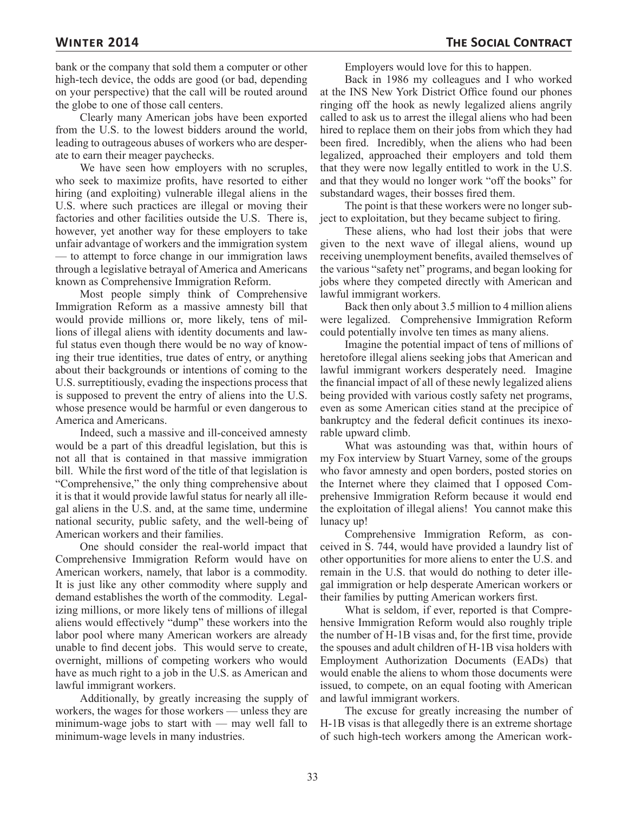bank or the company that sold them a computer or other high-tech device, the odds are good (or bad, depending on your perspective) that the call will be routed around the globe to one of those call centers.

Clearly many American jobs have been exported from the U.S. to the lowest bidders around the world, leading to outrageous abuses of workers who are desperate to earn their meager paychecks.

We have seen how employers with no scruples, who seek to maximize profits, have resorted to either hiring (and exploiting) vulnerable illegal aliens in the U.S. where such practices are illegal or moving their factories and other facilities outside the U.S. There is, however, yet another way for these employers to take unfair advantage of workers and the immigration system — to attempt to force change in our immigration laws through a legislative betrayal of America and Americans known as Comprehensive Immigration Reform.

Most people simply think of Comprehensive Immigration Reform as a massive amnesty bill that would provide millions or, more likely, tens of millions of illegal aliens with identity documents and lawful status even though there would be no way of knowing their true identities, true dates of entry, or anything about their backgrounds or intentions of coming to the U.S. surreptitiously, evading the inspections process that is supposed to prevent the entry of aliens into the U.S. whose presence would be harmful or even dangerous to America and Americans.

Indeed, such a massive and ill-conceived amnesty would be a part of this dreadful legislation, but this is not all that is contained in that massive immigration bill. While the first word of the title of that legislation is "Comprehensive," the only thing comprehensive about it is that it would provide lawful status for nearly all illegal aliens in the U.S. and, at the same time, undermine national security, public safety, and the well-being of American workers and their families.

One should consider the real-world impact that Comprehensive Immigration Reform would have on American workers, namely, that labor is a commodity. It is just like any other commodity where supply and demand establishes the worth of the commodity. Legalizing millions, or more likely tens of millions of illegal aliens would effectively "dump" these workers into the labor pool where many American workers are already unable to find decent jobs. This would serve to create, overnight, millions of competing workers who would have as much right to a job in the U.S. as American and lawful immigrant workers.

Additionally, by greatly increasing the supply of workers, the wages for those workers — unless they are minimum-wage jobs to start with — may well fall to minimum-wage levels in many industries.

Employers would love for this to happen.

Back in 1986 my colleagues and I who worked at the INS New York District Office found our phones ringing off the hook as newly legalized aliens angrily called to ask us to arrest the illegal aliens who had been hired to replace them on their jobs from which they had been fired. Incredibly, when the aliens who had been legalized, approached their employers and told them that they were now legally entitled to work in the U.S. and that they would no longer work "off the books" for substandard wages, their bosses fired them.

The point is that these workers were no longer subject to exploitation, but they became subject to firing.

These aliens, who had lost their jobs that were given to the next wave of illegal aliens, wound up receiving unemployment benefits, availed themselves of the various "safety net" programs, and began looking for jobs where they competed directly with American and lawful immigrant workers.

Back then only about 3.5 million to 4 million aliens were legalized. Comprehensive Immigration Reform could potentially involve ten times as many aliens.

Imagine the potential impact of tens of millions of heretofore illegal aliens seeking jobs that American and lawful immigrant workers desperately need. Imagine the financial impact of all of these newly legalized aliens being provided with various costly safety net programs, even as some American cities stand at the precipice of bankruptcy and the federal deficit continues its inexorable upward climb.

What was astounding was that, within hours of my Fox interview by Stuart Varney, some of the groups who favor amnesty and open borders, posted stories on the Internet where they claimed that I opposed Comprehensive Immigration Reform because it would end the exploitation of illegal aliens! You cannot make this lunacy up!

Comprehensive Immigration Reform, as conceived in S. 744, would have provided a laundry list of other opportunities for more aliens to enter the U.S. and remain in the U.S. that would do nothing to deter illegal immigration or help desperate American workers or their families by putting American workers first.

What is seldom, if ever, reported is that Comprehensive Immigration Reform would also roughly triple the number of H-1B visas and, for the first time, provide the spouses and adult children of H-1B visa holders with Employment Authorization Documents (EADs) that would enable the aliens to whom those documents were issued, to compete, on an equal footing with American and lawful immigrant workers.

The excuse for greatly increasing the number of H-1B visas is that allegedly there is an extreme shortage of such high-tech workers among the American work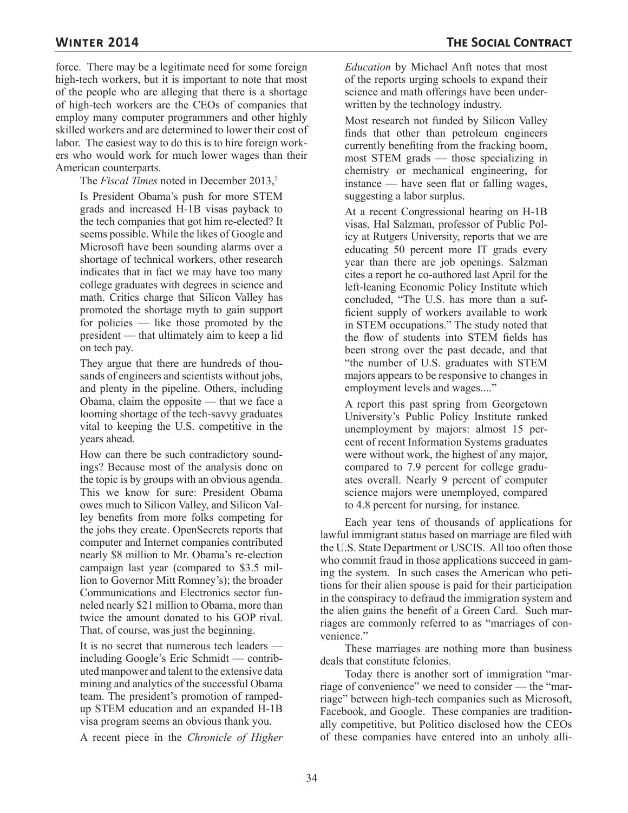force. There may be a legitimate need for some foreign high-tech workers, but it is important to note that most of the people who are alleging that there is a shortage of high-tech workers are the CEOs of companies that employ many computer programmers and other highly skilled workers and are determined to lower their cost of labor. The easiest way to do this is to hire foreign workers who would work for much lower wages than their American counterparts.

The *Fiscal Times* noted in December 2013,<sup>5</sup>

Is President Obama's push for more STEM grads and increased H-1B visas payback to the tech companies that got him re-elected? It seems possible. While the likes of Google and Microsoft have been sounding alarms over a shortage of technical workers, other research indicates that in fact we may have too many college graduates with degrees in science and math. Critics charge that Silicon Valley has promoted the shortage myth to gain support for policies — like those promoted by the president — that ultimately aim to keep a lid on tech pay.

They argue that there are hundreds of thousands of engineers and scientists without jobs, and plenty in the pipeline. Others, including Obama, claim the opposite — that we face a looming shortage of the tech-savvy graduates vital to keeping the U.S. competitive in the years ahead.

How can there be such contradictory soundings? Because most of the analysis done on the topic is by groups with an obvious agenda. This we know for sure: President Obama owes much to Silicon Valley, and Silicon Valley benefits from more folks competing for the jobs they create. OpenSecrets reports that computer and Internet companies contributed nearly \$8 million to Mr. Obama's re-election campaign last year (compared to \$3.5 million to Governor Mitt Romney's); the broader Communications and Electronics sector funneled nearly \$21 million to Obama, more than twice the amount donated to his GOP rival. That, of course, was just the beginning.

It is no secret that numerous tech leaders including Google's Eric Schmidt — contributed manpower and talent to the extensive data mining and analytics of the successful Obama team. The president's promotion of rampedup STEM education and an expanded H-1B visa program seems an obvious thank you.

A recent piece in the *Chronicle of Higher* 

*Education* by Michael Anft notes that most of the reports urging schools to expand their science and math offerings have been underwritten by the technology industry.

Most research not funded by Silicon Valley finds that other than petroleum engineers currently benefiting from the fracking boom, most STEM grads — those specializing in chemistry or mechanical engineering, for instance — have seen flat or falling wages, suggesting a labor surplus.

At a recent Congressional hearing on H-1B visas, Hal Salzman, professor of Public Policy at Rutgers University, reports that we are educating 50 percent more IT grads every year than there are job openings. Salzman cites a report he co-authored last April for the left-leaning Economic Policy Institute which concluded, "The U.S. has more than a sufficient supply of workers available to work in STEM occupations." The study noted that the flow of students into STEM fields has been strong over the past decade, and that "the number of U.S. graduates with STEM majors appears to be responsive to changes in employment levels and wages...."

A report this past spring from Georgetown University's Public Policy Institute ranked unemployment by majors: almost 15 percent of recent Information Systems graduates were without work, the highest of any major, compared to 7.9 percent for college graduates overall. Nearly 9 percent of computer science majors were unemployed, compared to 4.8 percent for nursing, for instance*.*

Each year tens of thousands of applications for lawful immigrant status based on marriage are filed with the U.S. State Department or USCIS. All too often those who commit fraud in those applications succeed in gaming the system. In such cases the American who petitions for their alien spouse is paid for their participation in the conspiracy to defraud the immigration system and the alien gains the benefit of a Green Card. Such marriages are commonly referred to as "marriages of convenience."

These marriages are nothing more than business deals that constitute felonies.

Today there is another sort of immigration "marriage of convenience" we need to consider — the "marriage" between high-tech companies such as Microsoft, Facebook, and Google. These companies are traditionally competitive, but Politico disclosed how the CEOs of these companies have entered into an unholy alli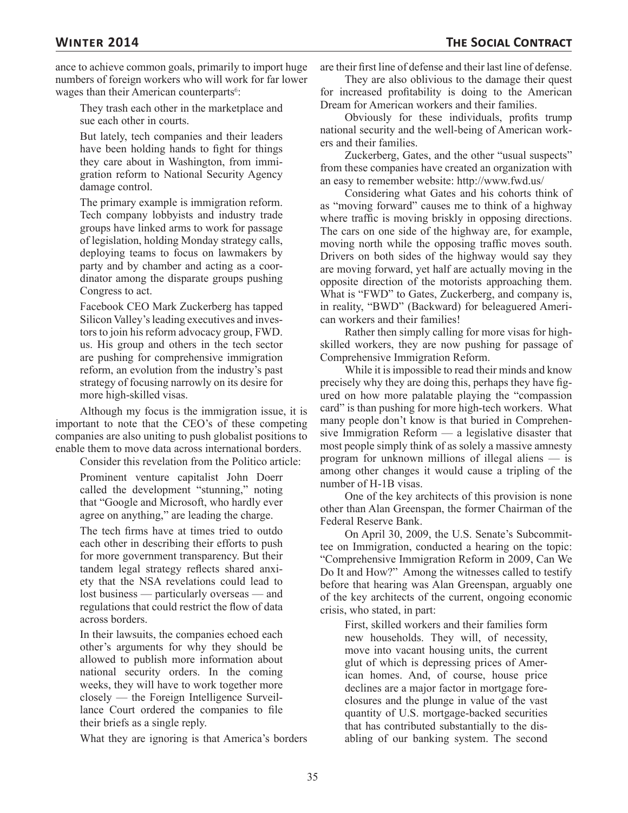ance to achieve common goals, primarily to import huge numbers of foreign workers who will work for far lower wages than their American counterparts<sup>6</sup>:

They trash each other in the marketplace and sue each other in courts.

But lately, tech companies and their leaders have been holding hands to fight for things they care about in Washington, from immigration reform to National Security Agency damage control.

The primary example is immigration reform. Tech company lobbyists and industry trade groups have linked arms to work for passage of legislation, holding Monday strategy calls, deploying teams to focus on lawmakers by party and by chamber and acting as a coordinator among the disparate groups pushing Congress to act.

Facebook CEO Mark Zuckerberg has tapped Silicon Valley's leading executives and investors to join his reform advocacy group, FWD. us. His group and others in the tech sector are pushing for comprehensive immigration reform, an evolution from the industry's past strategy of focusing narrowly on its desire for more high-skilled visas.

Although my focus is the immigration issue, it is important to note that the CEO's of these competing companies are also uniting to push globalist positions to enable them to move data across international borders.

Consider this revelation from the Politico article:

Prominent venture capitalist John Doerr called the development "stunning," noting that "Google and Microsoft, who hardly ever agree on anything," are leading the charge.

The tech firms have at times tried to outdo each other in describing their efforts to push for more government transparency. But their tandem legal strategy reflects shared anxiety that the NSA revelations could lead to lost business — particularly overseas — and regulations that could restrict the flow of data across borders.

In their lawsuits, the companies echoed each other's arguments for why they should be allowed to publish more information about national security orders. In the coming weeks, they will have to work together more closely — the Foreign Intelligence Surveillance Court ordered the companies to file their briefs as a single reply.

What they are ignoring is that America's borders

are their first line of defense and their last line of defense.

They are also oblivious to the damage their quest for increased profitability is doing to the American Dream for American workers and their families.

Obviously for these individuals, profits trump national security and the well-being of American workers and their families.

Zuckerberg, Gates, and the other "usual suspects" from these companies have created an organization with an easy to remember website: http://www.fwd.us/

Considering what Gates and his cohorts think of as "moving forward" causes me to think of a highway where traffic is moving briskly in opposing directions. The cars on one side of the highway are, for example, moving north while the opposing traffic moves south. Drivers on both sides of the highway would say they are moving forward, yet half are actually moving in the opposite direction of the motorists approaching them. What is "FWD" to Gates, Zuckerberg, and company is, in reality, "BWD" (Backward) for beleaguered American workers and their families!

Rather then simply calling for more visas for highskilled workers, they are now pushing for passage of Comprehensive Immigration Reform.

While it is impossible to read their minds and know precisely why they are doing this, perhaps they have figured on how more palatable playing the "compassion card" is than pushing for more high-tech workers. What many people don't know is that buried in Comprehensive Immigration Reform — a legislative disaster that most people simply think of as solely a massive amnesty program for unknown millions of illegal aliens — is among other changes it would cause a tripling of the number of H-1B visas.

One of the key architects of this provision is none other than Alan Greenspan, the former Chairman of the Federal Reserve Bank.

On April 30, 2009, the U.S. Senate's Subcommittee on Immigration, conducted a hearing on the topic: "Comprehensive Immigration Reform in 2009, Can We Do It and How?" Among the witnesses called to testify before that hearing was Alan Greenspan, arguably one of the key architects of the current, ongoing economic crisis, who stated, in part:

First, skilled workers and their families form new households. They will, of necessity, move into vacant housing units, the current glut of which is depressing prices of American homes. And, of course, house price declines are a major factor in mortgage foreclosures and the plunge in value of the vast quantity of U.S. mortgage-backed securities that has contributed substantially to the disabling of our banking system. The second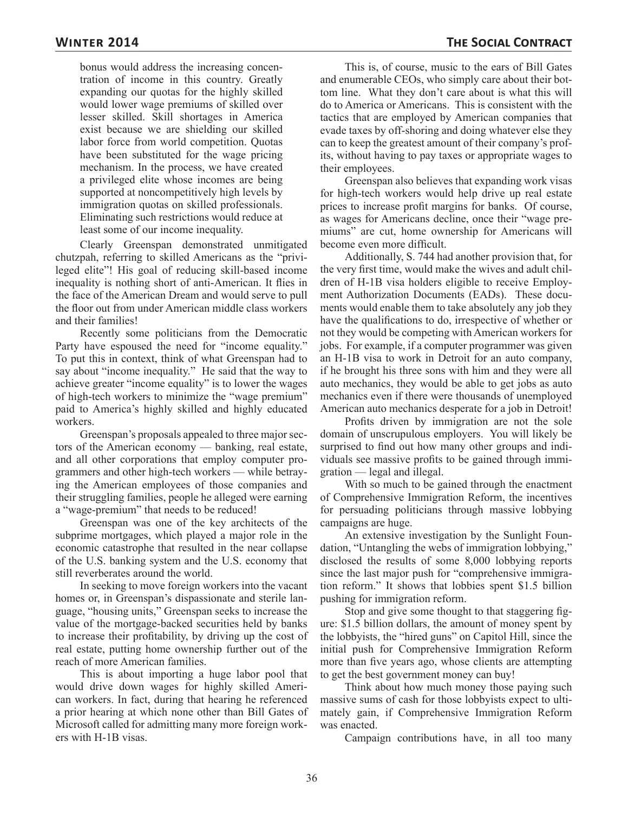bonus would address the increasing concentration of income in this country. Greatly expanding our quotas for the highly skilled would lower wage premiums of skilled over lesser skilled. Skill shortages in America exist because we are shielding our skilled labor force from world competition. Quotas have been substituted for the wage pricing mechanism. In the process, we have created a privileged elite whose incomes are being supported at noncompetitively high levels by immigration quotas on skilled professionals. Eliminating such restrictions would reduce at least some of our income inequality.

Clearly Greenspan demonstrated unmitigated chutzpah, referring to skilled Americans as the "privileged elite"! His goal of reducing skill-based income inequality is nothing short of anti-American. It flies in the face of the American Dream and would serve to pull the floor out from under American middle class workers and their families!

Recently some politicians from the Democratic Party have espoused the need for "income equality." To put this in context, think of what Greenspan had to say about "income inequality." He said that the way to achieve greater "income equality" is to lower the wages of high-tech workers to minimize the "wage premium" paid to America's highly skilled and highly educated workers.

Greenspan's proposals appealed to three major sectors of the American economy — banking, real estate, and all other corporations that employ computer programmers and other high-tech workers — while betraying the American employees of those companies and their struggling families, people he alleged were earning a "wage-premium" that needs to be reduced!

Greenspan was one of the key architects of the subprime mortgages, which played a major role in the economic catastrophe that resulted in the near collapse of the U.S. banking system and the U.S. economy that still reverberates around the world.

In seeking to move foreign workers into the vacant homes or, in Greenspan's dispassionate and sterile language, "housing units," Greenspan seeks to increase the value of the mortgage-backed securities held by banks to increase their profitability, by driving up the cost of real estate, putting home ownership further out of the reach of more American families.

This is about importing a huge labor pool that would drive down wages for highly skilled American workers. In fact, during that hearing he referenced a prior hearing at which none other than Bill Gates of Microsoft called for admitting many more foreign workers with H-1B visas.

This is, of course, music to the ears of Bill Gates and enumerable CEOs, who simply care about their bottom line. What they don't care about is what this will do to America or Americans. This is consistent with the tactics that are employed by American companies that evade taxes by off-shoring and doing whatever else they can to keep the greatest amount of their company's profits, without having to pay taxes or appropriate wages to their employees.

Greenspan also believes that expanding work visas for high-tech workers would help drive up real estate prices to increase profit margins for banks. Of course, as wages for Americans decline, once their "wage premiums" are cut, home ownership for Americans will become even more difficult.

Additionally, S. 744 had another provision that, for the very first time, would make the wives and adult children of H-1B visa holders eligible to receive Employment Authorization Documents (EADs). These documents would enable them to take absolutely any job they have the qualifications to do, irrespective of whether or not they would be competing with American workers for jobs. For example, if a computer programmer was given an H-1B visa to work in Detroit for an auto company, if he brought his three sons with him and they were all auto mechanics, they would be able to get jobs as auto mechanics even if there were thousands of unemployed American auto mechanics desperate for a job in Detroit!

Profits driven by immigration are not the sole domain of unscrupulous employers. You will likely be surprised to find out how many other groups and individuals see massive profits to be gained through immigration — legal and illegal.

With so much to be gained through the enactment of Comprehensive Immigration Reform, the incentives for persuading politicians through massive lobbying campaigns are huge.

An extensive investigation by the Sunlight Foundation, "Untangling the webs of immigration lobbying," disclosed the results of some 8,000 lobbying reports since the last major push for "comprehensive immigration reform." It shows that lobbies spent \$1.5 billion pushing for immigration reform.

Stop and give some thought to that staggering figure: \$1.5 billion dollars, the amount of money spent by the lobbyists, the "hired guns" on Capitol Hill, since the initial push for Comprehensive Immigration Reform more than five years ago, whose clients are attempting to get the best government money can buy!

Think about how much money those paying such massive sums of cash for those lobbyists expect to ultimately gain, if Comprehensive Immigration Reform was enacted.

Campaign contributions have, in all too many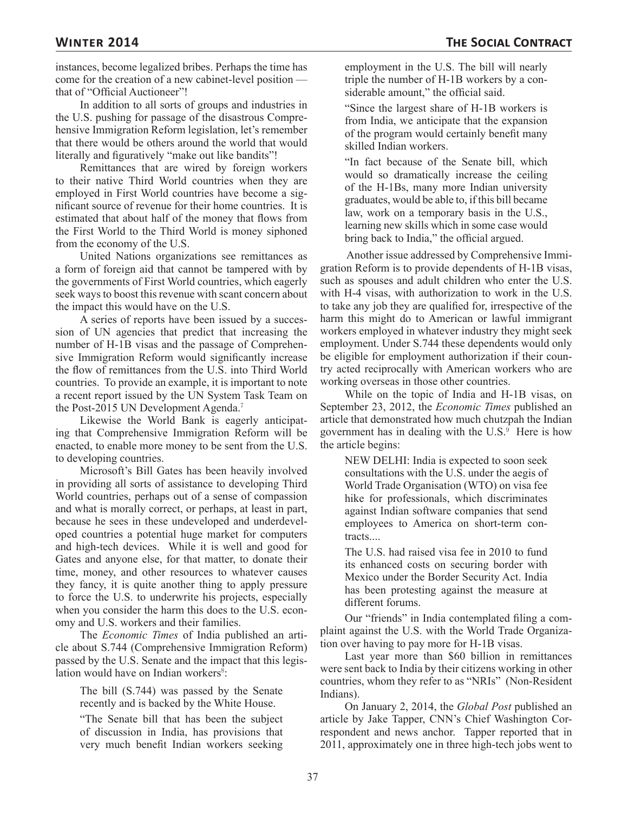instances, become legalized bribes. Perhaps the time has come for the creation of a new cabinet-level position that of "Official Auctioneer"!

In addition to all sorts of groups and industries in the U.S. pushing for passage of the disastrous Comprehensive Immigration Reform legislation, let's remember that there would be others around the world that would literally and figuratively "make out like bandits"!

Remittances that are wired by foreign workers to their native Third World countries when they are employed in First World countries have become a significant source of revenue for their home countries. It is estimated that about half of the money that flows from the First World to the Third World is money siphoned from the economy of the U.S.

United Nations organizations see remittances as a form of foreign aid that cannot be tampered with by the governments of First World countries, which eagerly seek ways to boost this revenue with scant concern about the impact this would have on the U.S.

A series of reports have been issued by a succession of UN agencies that predict that increasing the number of H-1B visas and the passage of Comprehensive Immigration Reform would significantly increase the flow of remittances from the U.S. into Third World countries. To provide an example, it is important to note a recent report issued by the UN System Task Team on the Post-2015 UN Development Agenda.<sup>7</sup>

Likewise the World Bank is eagerly anticipating that Comprehensive Immigration Reform will be enacted, to enable more money to be sent from the U.S. to developing countries.

Microsoft's Bill Gates has been heavily involved in providing all sorts of assistance to developing Third World countries, perhaps out of a sense of compassion and what is morally correct, or perhaps, at least in part, because he sees in these undeveloped and underdeveloped countries a potential huge market for computers and high-tech devices. While it is well and good for Gates and anyone else, for that matter, to donate their time, money, and other resources to whatever causes they fancy, it is quite another thing to apply pressure to force the U.S. to underwrite his projects, especially when you consider the harm this does to the U.S. economy and U.S. workers and their families.

The *Economic Times* of India published an article about S.744 (Comprehensive Immigration Reform) passed by the U.S. Senate and the impact that this legislation would have on Indian workers<sup>8</sup>:

The bill (S.744) was passed by the Senate recently and is backed by the White House.

"The Senate bill that has been the subject of discussion in India, has provisions that very much benefit Indian workers seeking employment in the U.S. The bill will nearly triple the number of H-1B workers by a considerable amount," the official said.

"Since the largest share of H-1B workers is from India, we anticipate that the expansion of the program would certainly benefit many skilled Indian workers.

"In fact because of the Senate bill, which would so dramatically increase the ceiling of the H-1Bs, many more Indian university graduates, would be able to, if this bill became law, work on a temporary basis in the U.S., learning new skills which in some case would bring back to India," the official argued.

 Another issue addressed by Comprehensive Immigration Reform is to provide dependents of H-1B visas, such as spouses and adult children who enter the U.S. with H-4 visas, with authorization to work in the U.S. to take any job they are qualified for, irrespective of the harm this might do to American or lawful immigrant workers employed in whatever industry they might seek employment. Under S.744 these dependents would only be eligible for employment authorization if their country acted reciprocally with American workers who are working overseas in those other countries.

While on the topic of India and H-1B visas, on September 23, 2012, the *Economic Times* published an article that demonstrated how much chutzpah the Indian government has in dealing with the  $U.S.^9$  Here is how the article begins:

NEW DELHI: India is expected to soon seek consultations with the U.S. under the aegis of World Trade Organisation (WTO) on visa fee hike for professionals, which discriminates against Indian software companies that send employees to America on short-term contracts....

The U.S. had raised visa fee in 2010 to fund its enhanced costs on securing border with Mexico under the Border Security Act. India has been protesting against the measure at different forums.

Our "friends" in India contemplated filing a complaint against the U.S. with the World Trade Organization over having to pay more for H-1B visas.

Last year more than \$60 billion in remittances were sent back to India by their citizens working in other countries, whom they refer to as "NRIs" (Non-Resident Indians).

On January 2, 2014, the *Global Post* published an article by Jake Tapper, CNN's Chief Washington Correspondent and news anchor. Tapper reported that in 2011, approximately one in three high-tech jobs went to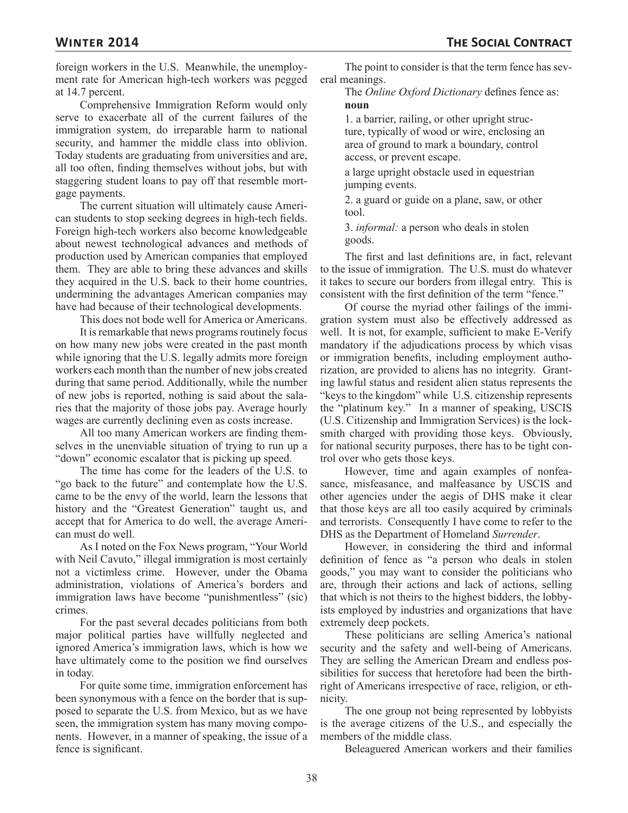foreign workers in the U.S. Meanwhile, the unemployment rate for American high-tech workers was pegged at 14.7 percent.

Comprehensive Immigration Reform would only serve to exacerbate all of the current failures of the immigration system, do irreparable harm to national security, and hammer the middle class into oblivion. Today students are graduating from universities and are, all too often, finding themselves without jobs, but with staggering student loans to pay off that resemble mortgage payments.

The current situation will ultimately cause American students to stop seeking degrees in high-tech fields. Foreign high-tech workers also become knowledgeable about newest technological advances and methods of production used by American companies that employed them. They are able to bring these advances and skills they acquired in the U.S. back to their home countries, undermining the advantages American companies may have had because of their technological developments.

This does not bode well for America or Americans.

It is remarkable that news programs routinely focus on how many new jobs were created in the past month while ignoring that the U.S. legally admits more foreign workers each month than the number of new jobs created during that same period. Additionally, while the number of new jobs is reported, nothing is said about the salaries that the majority of those jobs pay. Average hourly wages are currently declining even as costs increase.

All too many American workers are finding themselves in the unenviable situation of trying to run up a "down" economic escalator that is picking up speed.

The time has come for the leaders of the U.S. to "go back to the future" and contemplate how the U.S. came to be the envy of the world, learn the lessons that history and the "Greatest Generation" taught us, and accept that for America to do well, the average American must do well.

As I noted on the Fox News program, "Your World with Neil Cavuto," illegal immigration is most certainly not a victimless crime. However, under the Obama administration, violations of America's borders and immigration laws have become "punishmentless" (sic) crimes.

For the past several decades politicians from both major political parties have willfully neglected and ignored America's immigration laws, which is how we have ultimately come to the position we find ourselves in today.

For quite some time, immigration enforcement has been synonymous with a fence on the border that is supposed to separate the U.S. from Mexico, but as we have seen, the immigration system has many moving components. However, in a manner of speaking, the issue of a fence is significant.

The point to consider is that the term fence has several meanings.

The *Online Oxford Dictionary* defines fence as: **noun**

1. a barrier, railing, or other upright structure, typically of wood or wire, enclosing an area of ground to mark a boundary, control access, or prevent escape.

a large upright obstacle used in equestrian jumping events.

2. a guard or guide on a plane, saw, or other tool.

3. *informal:* a person who deals in stolen goods.

The first and last definitions are, in fact, relevant to the issue of immigration. The U.S. must do whatever it takes to secure our borders from illegal entry. This is consistent with the first definition of the term "fence."

Of course the myriad other failings of the immigration system must also be effectively addressed as well. It is not, for example, sufficient to make E-Verify mandatory if the adjudications process by which visas or immigration benefits, including employment authorization, are provided to aliens has no integrity. Granting lawful status and resident alien status represents the "keys to the kingdom" while U.S. citizenship represents the "platinum key." In a manner of speaking, USCIS (U.S. Citizenship and Immigration Services) is the locksmith charged with providing those keys. Obviously, for national security purposes, there has to be tight control over who gets those keys.

However, time and again examples of nonfeasance, misfeasance, and malfeasance by USCIS and other agencies under the aegis of DHS make it clear that those keys are all too easily acquired by criminals and terrorists. Consequently I have come to refer to the DHS as the Department of Homeland *Surrender*.

However, in considering the third and informal definition of fence as "a person who deals in stolen goods," you may want to consider the politicians who are, through their actions and lack of actions, selling that which is not theirs to the highest bidders, the lobbyists employed by industries and organizations that have extremely deep pockets.

These politicians are selling America's national security and the safety and well-being of Americans. They are selling the American Dream and endless possibilities for success that heretofore had been the birthright of Americans irrespective of race, religion, or ethnicity.

The one group not being represented by lobbyists is the average citizens of the U.S., and especially the members of the middle class.

Beleaguered American workers and their families